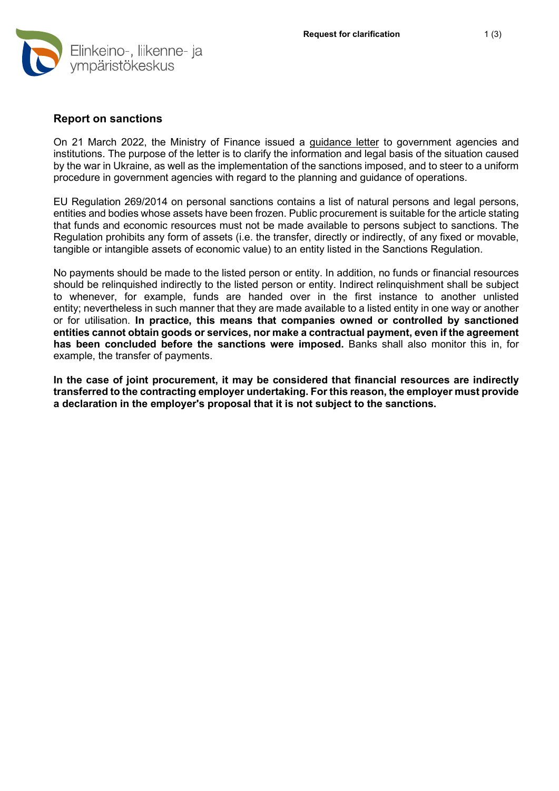

## **Report on sanctions**

On 21 March 2022, the Ministry of Finance issued a [guidance letter](https://vm.fi/en/governance-policy/corporate-services-for-government/government-procurement) to government agencies and institutions. The purpose of the letter is to clarify the information and legal basis of the situation caused by the war in Ukraine, as well as the implementation of the sanctions imposed, and to steer to a uniform procedure in government agencies with regard to the planning and guidance of operations.

EU Regulation 269/2014 on personal sanctions contains a list of natural persons and legal persons, entities and bodies whose assets have been frozen. Public procurement is suitable for the article stating that funds and economic resources must not be made available to persons subject to sanctions. The Regulation prohibits any form of assets (i.e. the transfer, directly or indirectly, of any fixed or movable, tangible or intangible assets of economic value) to an entity listed in the Sanctions Regulation.

No payments should be made to the listed person or entity. In addition, no funds or financial resources should be relinquished indirectly to the listed person or entity. Indirect relinquishment shall be subject to whenever, for example, funds are handed over in the first instance to another unlisted entity; nevertheless in such manner that they are made available to a listed entity in one way or another or for utilisation. **In practice, this means that companies owned or controlled by sanctioned entities cannot obtain goods or services, nor make a contractual payment, even if the agreement has been concluded before the sanctions were imposed.** Banks shall also monitor this in, for example, the transfer of payments.

**In the case of joint procurement, it may be considered that financial resources are indirectly transferred to the contracting employer undertaking. For this reason, the employer must provide a declaration in the employer's proposal that it is not subject to the sanctions.**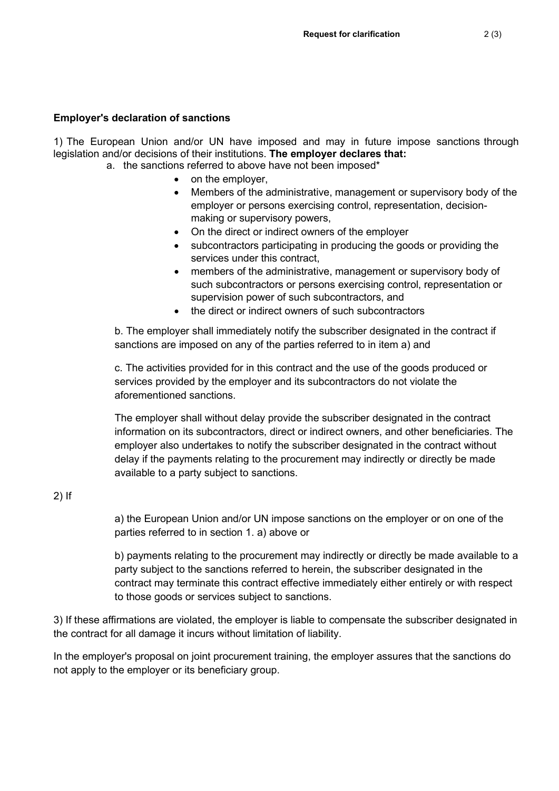## **Employer's declaration of sanctions**

1) The European Union and/or UN have imposed and may in future impose sanctions through legislation and/or decisions of their institutions. **The employer declares that:**

- a. the sanctions referred to above have not been imposed\*
	- on the employer,
		- Members of the administrative, management or supervisory body of the employer or persons exercising control, representation, decisionmaking or supervisory powers,
		- On the direct or indirect owners of the employer
		- subcontractors participating in producing the goods or providing the services under this contract,
		- members of the administrative, management or supervisory body of such subcontractors or persons exercising control, representation or supervision power of such subcontractors, and
		- the direct or indirect owners of such subcontractors

b. The employer shall immediately notify the subscriber designated in the contract if sanctions are imposed on any of the parties referred to in item a) and

c. The activities provided for in this contract and the use of the goods produced or services provided by the employer and its subcontractors do not violate the aforementioned sanctions.

The employer shall without delay provide the subscriber designated in the contract information on its subcontractors, direct or indirect owners, and other beneficiaries. The employer also undertakes to notify the subscriber designated in the contract without delay if the payments relating to the procurement may indirectly or directly be made available to a party subject to sanctions.

2) If

a) the European Union and/or UN impose sanctions on the employer or on one of the parties referred to in section 1. a) above or

b) payments relating to the procurement may indirectly or directly be made available to a party subject to the sanctions referred to herein, the subscriber designated in the contract may terminate this contract effective immediately either entirely or with respect to those goods or services subject to sanctions.

3) If these affirmations are violated, the employer is liable to compensate the subscriber designated in the contract for all damage it incurs without limitation of liability.

In the employer's proposal on joint procurement training, the employer assures that the sanctions do not apply to the employer or its beneficiary group.